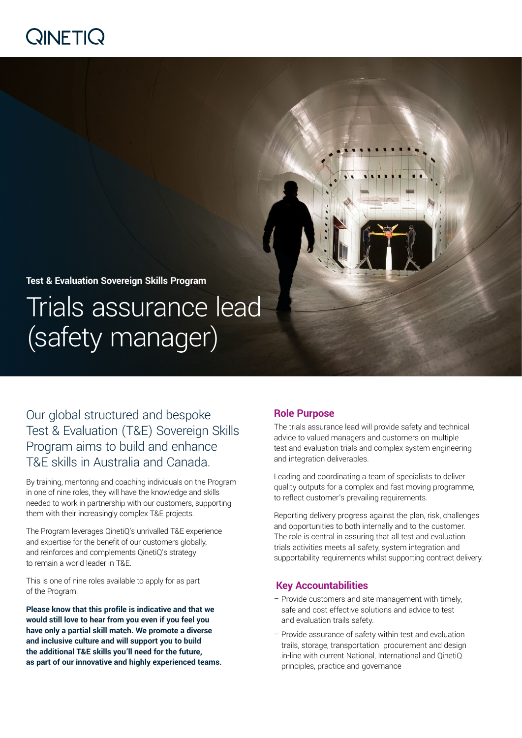# $Q$ INETI $Q$

## **Test & Evaluation Sovereign Skills Program**

Trials assurance lead (safety manager)

Our global structured and bespoke Test & Evaluation (T&E) Sovereign Skills Program aims to build and enhance T&E skills in Australia and Canada.

By training, mentoring and coaching individuals on the Program in one of nine roles, they will have the knowledge and skills needed to work in partnership with our customers, supporting them with their increasingly complex T&E projects.

The Program leverages QinetiQ's unrivalled T&E experience and expertise for the benefit of our customers globally, and reinforces and complements QinetiQ's strategy to remain a world leader in T&E.

This is one of nine roles available to apply for as part of the Program.

**Please know that this profile is indicative and that we would still love to hear from you even if you feel you have only a partial skill match. We promote a diverse and inclusive culture and will support you to build the additional T&E skills you'll need for the future, as part of our innovative and highly experienced teams.**

## **Role Purpose**

The trials assurance lead will provide safety and technical advice to valued managers and customers on multiple test and evaluation trials and complex system engineering and integration deliverables.

Leading and coordinating a team of specialists to deliver quality outputs for a complex and fast moving programme, to reflect customer's prevailing requirements.

Reporting delivery progress against the plan, risk, challenges and opportunities to both internally and to the customer. The role is central in assuring that all test and evaluation trials activities meets all safety, system integration and supportability requirements whilst supporting contract delivery.

## **Key Accountabilities**

- Provide customers and site management with timely, safe and cost effective solutions and advice to test and evaluation trails safety.
- Provide assurance of safety within test and evaluation trails, storage, transportation procurement and design in-line with current National, International and QinetiQ principles, practice and governance